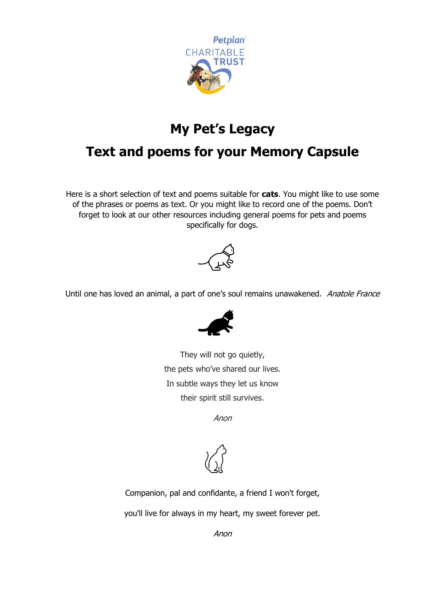

## **My Pet's Legacy**

## **Text and poems for your Memory Capsule**

Here is a short selection of text and poems suitable for **cats**. You might like to use some of the phrases or poems as text. Or you might like to record one of the poems. Don't forget to look at our other resources including general poems for pets and poems specifically for dogs.



Until one has loved an animal, a part of one's soul remains unawakened. Anatole France



They will not go quietly, the pets who've shared our lives. In subtle ways they let us know their spirit still survives.

Anon



Companion, pal and confidante, a friend I won't forget,

you'll live for always in my heart, my sweet forever pet.

Anon